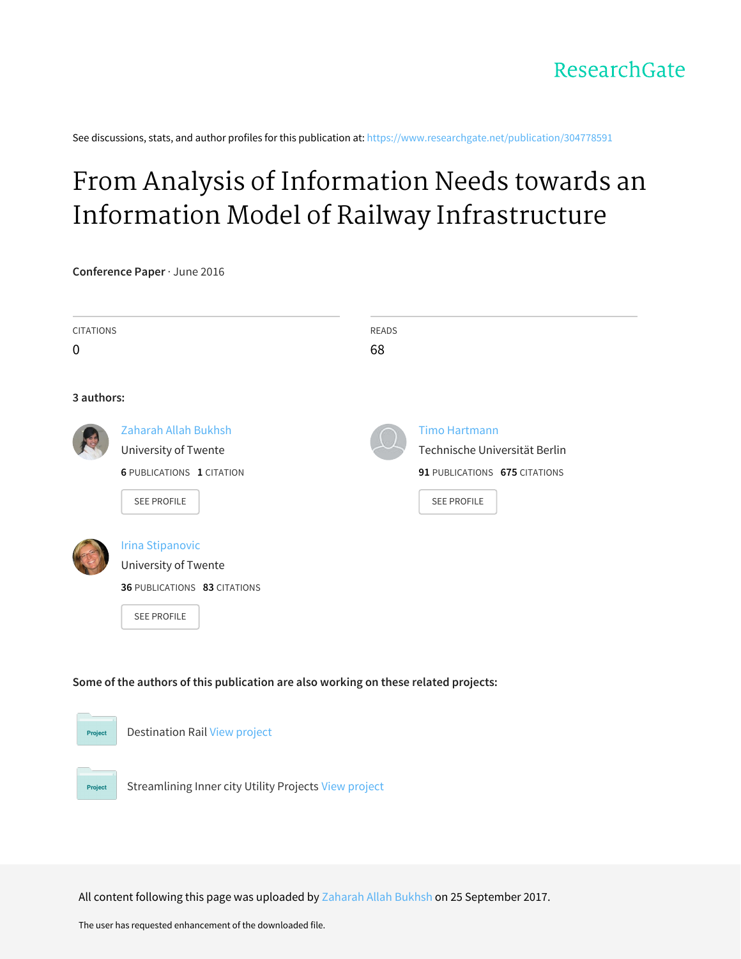See discussions, stats, and author profiles for this publication at: [https://www.researchgate.net/publication/304778591](https://www.researchgate.net/publication/304778591_From_Analysis_of_Information_Needs_towards_an_Information_Model_of_Railway_Infrastructure?enrichId=rgreq-d9fc8491b407ce39be0ad44ad5c0a2da-XXX&enrichSource=Y292ZXJQYWdlOzMwNDc3ODU5MTtBUzo1NDI1ODM2Njk4ODY5NzZAMTUwNjM3MzQzNTQzNw%3D%3D&el=1_x_2&_esc=publicationCoverPdf)

# From Analysis of Information Needs towards an Information Model of Railway [Infrastructure](https://www.researchgate.net/publication/304778591_From_Analysis_of_Information_Needs_towards_an_Information_Model_of_Railway_Infrastructure?enrichId=rgreq-d9fc8491b407ce39be0ad44ad5c0a2da-XXX&enrichSource=Y292ZXJQYWdlOzMwNDc3ODU5MTtBUzo1NDI1ODM2Njk4ODY5NzZAMTUwNjM3MzQzNTQzNw%3D%3D&el=1_x_3&_esc=publicationCoverPdf)

**Conference Paper** · June 2016

| <b>CITATIONS</b> |                                                     | <b>READS</b><br>68 |                                                       |
|------------------|-----------------------------------------------------|--------------------|-------------------------------------------------------|
| 3 authors:       |                                                     |                    |                                                       |
|                  | <b>Zaharah Allah Bukhsh</b><br>University of Twente |                    | <b>Timo Hartmann</b><br>Technische Universität Berlin |
|                  | <b>6 PUBLICATIONS 1 CITATION</b>                    |                    | 91 PUBLICATIONS 675 CITATIONS                         |
|                  | SEE PROFILE                                         |                    | <b>SEE PROFILE</b>                                    |
|                  | <b>Irina Stipanovic</b>                             |                    |                                                       |
|                  | University of Twente                                |                    |                                                       |
|                  | 36 PUBLICATIONS 83 CITATIONS                        |                    |                                                       |
|                  | <b>SEE PROFILE</b>                                  |                    |                                                       |



All content following this page was uploaded by [Zaharah](https://www.researchgate.net/profile/Zaharah_Allah_Bukhsh-UT?enrichId=rgreq-d9fc8491b407ce39be0ad44ad5c0a2da-XXX&enrichSource=Y292ZXJQYWdlOzMwNDc3ODU5MTtBUzo1NDI1ODM2Njk4ODY5NzZAMTUwNjM3MzQzNTQzNw%3D%3D&el=1_x_10&_esc=publicationCoverPdf) Allah Bukhsh on 25 September 2017.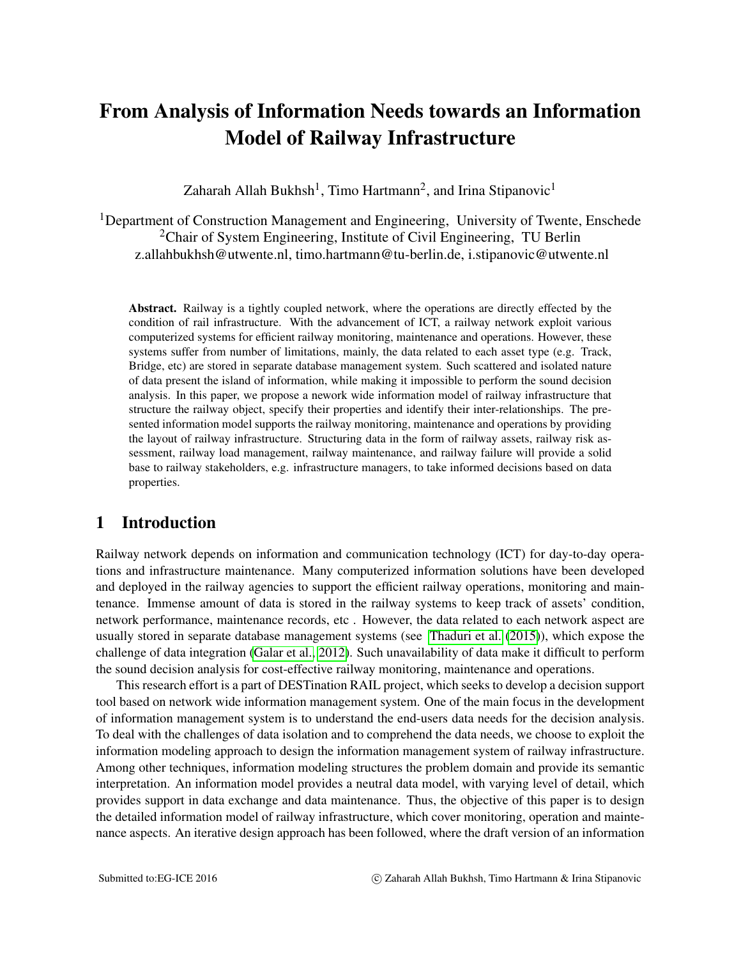# From Analysis of Information Needs towards an Information Model of Railway Infrastructure

Zaharah Allah Bukhsh<sup>1</sup>, Timo Hartmann<sup>2</sup>, and Irina Stipanovic<sup>1</sup>

<sup>1</sup>Department of Construction Management and Engineering, University of Twente, Enschede <sup>2</sup>Chair of System Engineering, Institute of Civil Engineering, TU Berlin z.allahbukhsh@utwente.nl, timo.hartmann@tu-berlin.de, i.stipanovic@utwente.nl

Abstract. Railway is a tightly coupled network, where the operations are directly effected by the condition of rail infrastructure. With the advancement of ICT, a railway network exploit various computerized systems for efficient railway monitoring, maintenance and operations. However, these systems suffer from number of limitations, mainly, the data related to each asset type (e.g. Track, Bridge, etc) are stored in separate database management system. Such scattered and isolated nature of data present the island of information, while making it impossible to perform the sound decision analysis. In this paper, we propose a nework wide information model of railway infrastructure that structure the railway object, specify their properties and identify their inter-relationships. The presented information model supports the railway monitoring, maintenance and operations by providing the layout of railway infrastructure. Structuring data in the form of railway assets, railway risk assessment, railway load management, railway maintenance, and railway failure will provide a solid base to railway stakeholders, e.g. infrastructure managers, to take informed decisions based on data properties.

# 1 Introduction

Railway network depends on information and communication technology (ICT) for day-to-day operations and infrastructure maintenance. Many computerized information solutions have been developed and deployed in the railway agencies to support the efficient railway operations, monitoring and maintenance. Immense amount of data is stored in the railway systems to keep track of assets' condition, network performance, maintenance records, etc . However, the data related to each network aspect are usually stored in separate database management systems (see [Thaduri et al.](#page-10-0) [\(2015\)](#page-10-0)), which expose the challenge of data integration [\(Galar et al., 2012\)](#page-10-1). Such unavailability of data make it difficult to perform the sound decision analysis for cost-effective railway monitoring, maintenance and operations.

This research effort is a part of DESTination RAIL project, which seeks to develop a decision support tool based on network wide information management system. One of the main focus in the development of information management system is to understand the end-users data needs for the decision analysis. To deal with the challenges of data isolation and to comprehend the data needs, we choose to exploit the information modeling approach to design the information management system of railway infrastructure. Among other techniques, information modeling structures the problem domain and provide its semantic interpretation. An information model provides a neutral data model, with varying level of detail, which provides support in data exchange and data maintenance. Thus, the objective of this paper is to design the detailed information model of railway infrastructure, which cover monitoring, operation and maintenance aspects. An iterative design approach has been followed, where the draft version of an information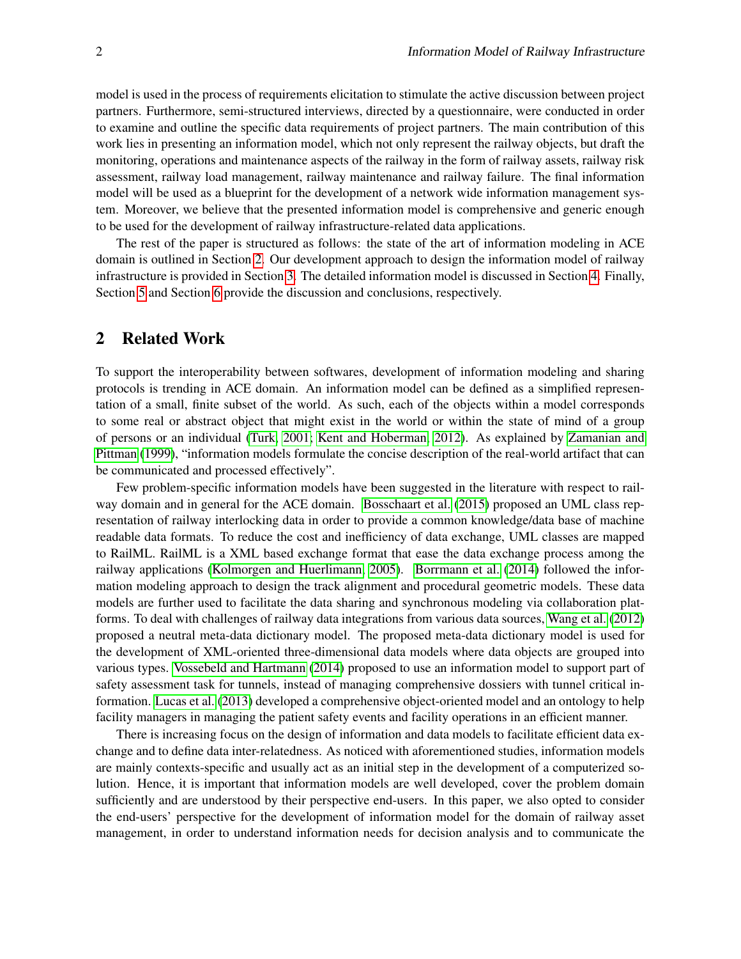model is used in the process of requirements elicitation to stimulate the active discussion between project partners. Furthermore, semi-structured interviews, directed by a questionnaire, were conducted in order to examine and outline the specific data requirements of project partners. The main contribution of this work lies in presenting an information model, which not only represent the railway objects, but draft the monitoring, operations and maintenance aspects of the railway in the form of railway assets, railway risk assessment, railway load management, railway maintenance and railway failure. The final information model will be used as a blueprint for the development of a network wide information management system. Moreover, we believe that the presented information model is comprehensive and generic enough to be used for the development of railway infrastructure-related data applications.

The rest of the paper is structured as follows: the state of the art of information modeling in ACE domain is outlined in Section [2.](#page-2-0) Our development approach to design the information model of railway infrastructure is provided in Section [3.](#page-3-0) The detailed information model is discussed in Section [4.](#page-3-1) Finally, Section [5](#page-8-0) and Section [6](#page-9-0) provide the discussion and conclusions, respectively.

# <span id="page-2-0"></span>2 Related Work

To support the interoperability between softwares, development of information modeling and sharing protocols is trending in ACE domain. An information model can be defined as a simplified representation of a small, finite subset of the world. As such, each of the objects within a model corresponds to some real or abstract object that might exist in the world or within the state of mind of a group of persons or an individual [\(Turk, 2001;](#page-10-2) [Kent and Hoberman, 2012\)](#page-10-3). As explained by [Zamanian and](#page-10-4) [Pittman](#page-10-4) [\(1999\)](#page-10-4), "information models formulate the concise description of the real-world artifact that can be communicated and processed effectively".

Few problem-specific information models have been suggested in the literature with respect to railway domain and in general for the ACE domain. [Bosschaart et al.](#page-9-1) [\(2015\)](#page-9-1) proposed an UML class representation of railway interlocking data in order to provide a common knowledge/data base of machine readable data formats. To reduce the cost and inefficiency of data exchange, UML classes are mapped to RailML. RailML is a XML based exchange format that ease the data exchange process among the railway applications [\(Kolmorgen and Huerlimann, 2005\)](#page-10-5). [Borrmann et al.](#page-9-2) [\(2014\)](#page-9-2) followed the information modeling approach to design the track alignment and procedural geometric models. These data models are further used to facilitate the data sharing and synchronous modeling via collaboration platforms. To deal with challenges of railway data integrations from various data sources, [Wang et al.](#page-10-6) [\(2012\)](#page-10-6) proposed a neutral meta-data dictionary model. The proposed meta-data dictionary model is used for the development of XML-oriented three-dimensional data models where data objects are grouped into various types. [Vossebeld and Hartmann](#page-10-7) [\(2014\)](#page-10-7) proposed to use an information model to support part of safety assessment task for tunnels, instead of managing comprehensive dossiers with tunnel critical information. [Lucas et al.](#page-10-8) [\(2013\)](#page-10-8) developed a comprehensive object-oriented model and an ontology to help facility managers in managing the patient safety events and facility operations in an efficient manner.

There is increasing focus on the design of information and data models to facilitate efficient data exchange and to define data inter-relatedness. As noticed with aforementioned studies, information models are mainly contexts-specific and usually act as an initial step in the development of a computerized solution. Hence, it is important that information models are well developed, cover the problem domain sufficiently and are understood by their perspective end-users. In this paper, we also opted to consider the end-users' perspective for the development of information model for the domain of railway asset management, in order to understand information needs for decision analysis and to communicate the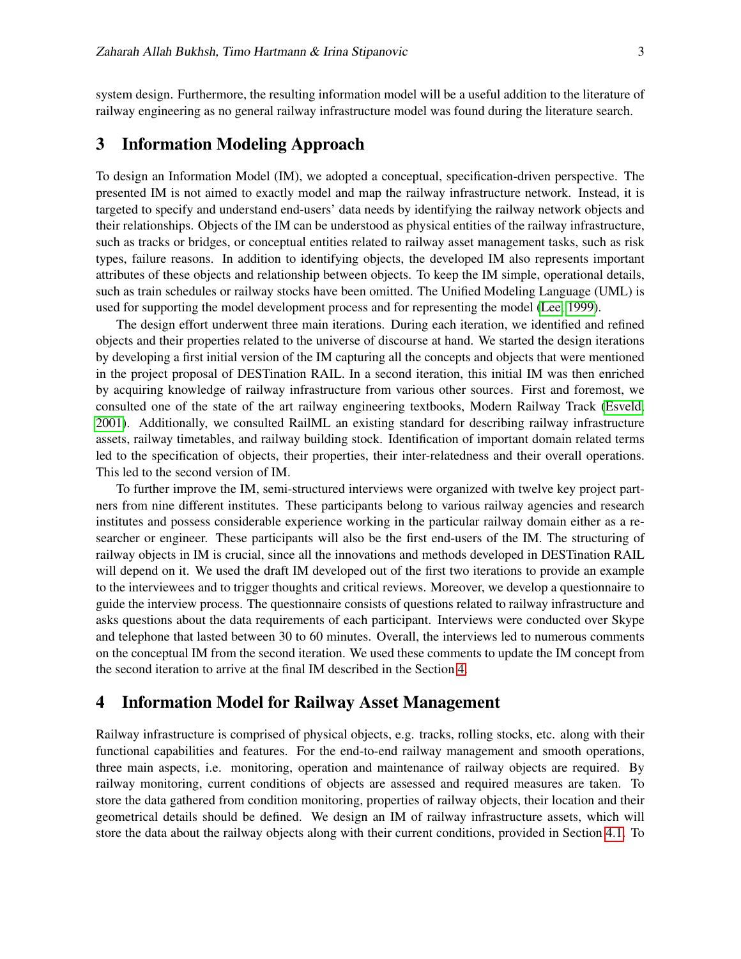system design. Furthermore, the resulting information model will be a useful addition to the literature of railway engineering as no general railway infrastructure model was found during the literature search.

# <span id="page-3-0"></span>3 Information Modeling Approach

To design an Information Model (IM), we adopted a conceptual, specification-driven perspective. The presented IM is not aimed to exactly model and map the railway infrastructure network. Instead, it is targeted to specify and understand end-users' data needs by identifying the railway network objects and their relationships. Objects of the IM can be understood as physical entities of the railway infrastructure, such as tracks or bridges, or conceptual entities related to railway asset management tasks, such as risk types, failure reasons. In addition to identifying objects, the developed IM also represents important attributes of these objects and relationship between objects. To keep the IM simple, operational details, such as train schedules or railway stocks have been omitted. The Unified Modeling Language (UML) is used for supporting the model development process and for representing the model [\(Lee, 1999\)](#page-10-9).

The design effort underwent three main iterations. During each iteration, we identified and refined objects and their properties related to the universe of discourse at hand. We started the design iterations by developing a first initial version of the IM capturing all the concepts and objects that were mentioned in the project proposal of DESTination RAIL. In a second iteration, this initial IM was then enriched by acquiring knowledge of railway infrastructure from various other sources. First and foremost, we consulted one of the state of the art railway engineering textbooks, Modern Railway Track [\(Esveld,](#page-10-10) [2001\)](#page-10-10). Additionally, we consulted RailML an existing standard for describing railway infrastructure assets, railway timetables, and railway building stock. Identification of important domain related terms led to the specification of objects, their properties, their inter-relatedness and their overall operations. This led to the second version of IM.

To further improve the IM, semi-structured interviews were organized with twelve key project partners from nine different institutes. These participants belong to various railway agencies and research institutes and possess considerable experience working in the particular railway domain either as a researcher or engineer. These participants will also be the first end-users of the IM. The structuring of railway objects in IM is crucial, since all the innovations and methods developed in DESTination RAIL will depend on it. We used the draft IM developed out of the first two iterations to provide an example to the interviewees and to trigger thoughts and critical reviews. Moreover, we develop a questionnaire to guide the interview process. The questionnaire consists of questions related to railway infrastructure and asks questions about the data requirements of each participant. Interviews were conducted over Skype and telephone that lasted between 30 to 60 minutes. Overall, the interviews led to numerous comments on the conceptual IM from the second iteration. We used these comments to update the IM concept from the second iteration to arrive at the final IM described in the Section [4.](#page-3-1)

### <span id="page-3-1"></span>4 Information Model for Railway Asset Management

Railway infrastructure is comprised of physical objects, e.g. tracks, rolling stocks, etc. along with their functional capabilities and features. For the end-to-end railway management and smooth operations, three main aspects, i.e. monitoring, operation and maintenance of railway objects are required. By railway monitoring, current conditions of objects are assessed and required measures are taken. To store the data gathered from condition monitoring, properties of railway objects, their location and their geometrical details should be defined. We design an IM of railway infrastructure assets, which will store the data about the railway objects along with their current conditions, provided in Section [4.1.](#page-5-0) To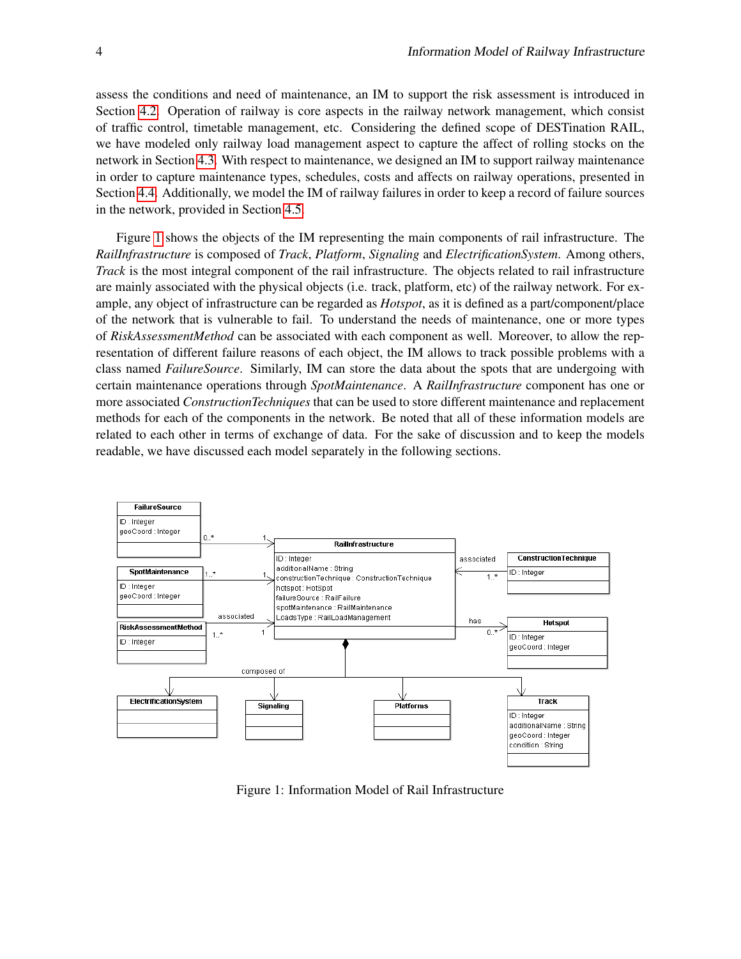assess the conditions and need of maintenance, an IM to support the risk assessment is introduced in Section [4.2.](#page-6-0) Operation of railway is core aspects in the railway network management, which consist of traffic control, timetable management, etc. Considering the defined scope of DESTination RAIL, we have modeled only railway load management aspect to capture the affect of rolling stocks on the network in Section [4.3.](#page-6-1) With respect to maintenance, we designed an IM to support railway maintenance in order to capture maintenance types, schedules, costs and affects on railway operations, presented in Section [4.4.](#page-8-1) Additionally, we model the IM of railway failures in order to keep a record of failure sources in the network, provided in Section [4.5.](#page-8-2)

Figure [1](#page-4-0) shows the objects of the IM representing the main components of rail infrastructure. The *RailInfrastructure* is composed of *Track*, *Platform*, *Signaling* and *ElectrificationSystem*. Among others, *Track* is the most integral component of the rail infrastructure. The objects related to rail infrastructure are mainly associated with the physical objects (i.e. track, platform, etc) of the railway network. For example, any object of infrastructure can be regarded as *Hotspot*, as it is defined as a part/component/place of the network that is vulnerable to fail. To understand the needs of maintenance, one or more types of *RiskAssessmentMethod* can be associated with each component as well. Moreover, to allow the representation of different failure reasons of each object, the IM allows to track possible problems with a class named *FailureSource*. Similarly, IM can store the data about the spots that are undergoing with certain maintenance operations through *SpotMaintenance*. A *RailInfrastructure* component has one or more associated *ConstructionTechniques* that can be used to store different maintenance and replacement methods for each of the components in the network. Be noted that all of these information models are related to each other in terms of exchange of data. For the sake of discussion and to keep the models readable, we have discussed each model separately in the following sections.

<span id="page-4-0"></span>

Figure 1: Information Model of Rail Infrastructure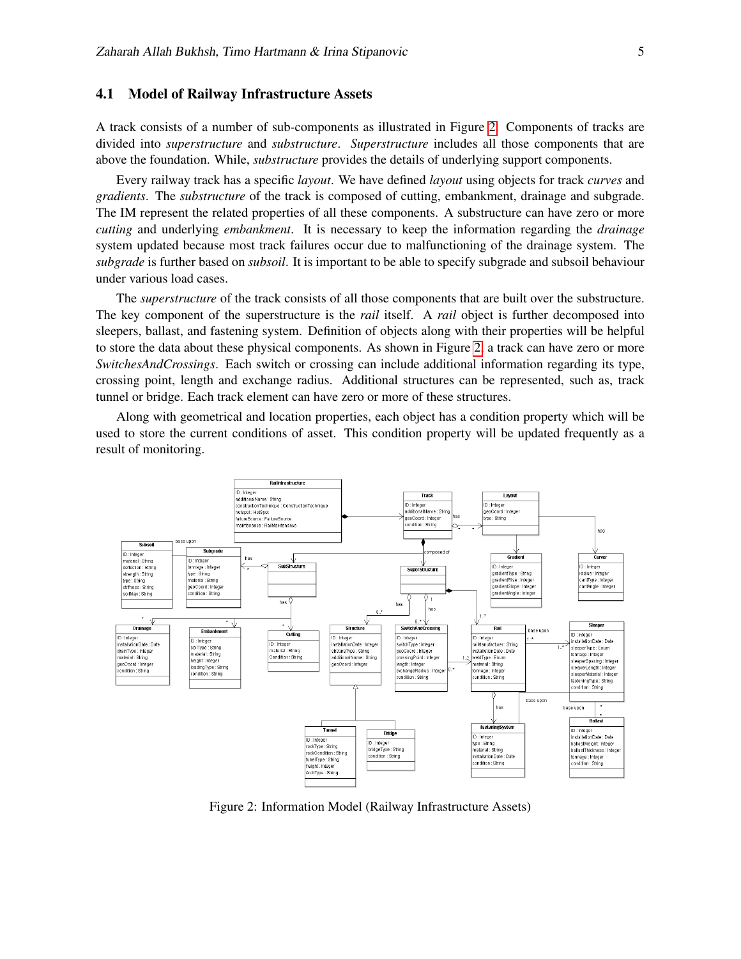#### <span id="page-5-0"></span>4.1 Model of Railway Infrastructure Assets

A track consists of a number of sub-components as illustrated in Figure [2.](#page-5-1) Components of tracks are divided into *superstructure* and *substructure*. *Superstructure* includes all those components that are above the foundation. While, *substructure* provides the details of underlying support components.

Every railway track has a specific *layout*. We have defined *layout* using objects for track *curves* and *gradients*. The *substructure* of the track is composed of cutting, embankment, drainage and subgrade. The IM represent the related properties of all these components. A substructure can have zero or more *cutting* and underlying *embankment*. It is necessary to keep the information regarding the *drainage* system updated because most track failures occur due to malfunctioning of the drainage system. The *subgrade* is further based on *subsoil*. It is important to be able to specify subgrade and subsoil behaviour under various load cases.

The *superstructure* of the track consists of all those components that are built over the substructure. The key component of the superstructure is the *rail* itself. A *rail* object is further decomposed into sleepers, ballast, and fastening system. Definition of objects along with their properties will be helpful to store the data about these physical components. As shown in Figure [2,](#page-5-1) a track can have zero or more *SwitchesAndCrossings*. Each switch or crossing can include additional information regarding its type, crossing point, length and exchange radius. Additional structures can be represented, such as, track tunnel or bridge. Each track element can have zero or more of these structures.

Along with geometrical and location properties, each object has a condition property which will be used to store the current conditions of asset. This condition property will be updated frequently as a result of monitoring.

<span id="page-5-1"></span>

Figure 2: Information Model (Railway Infrastructure Assets)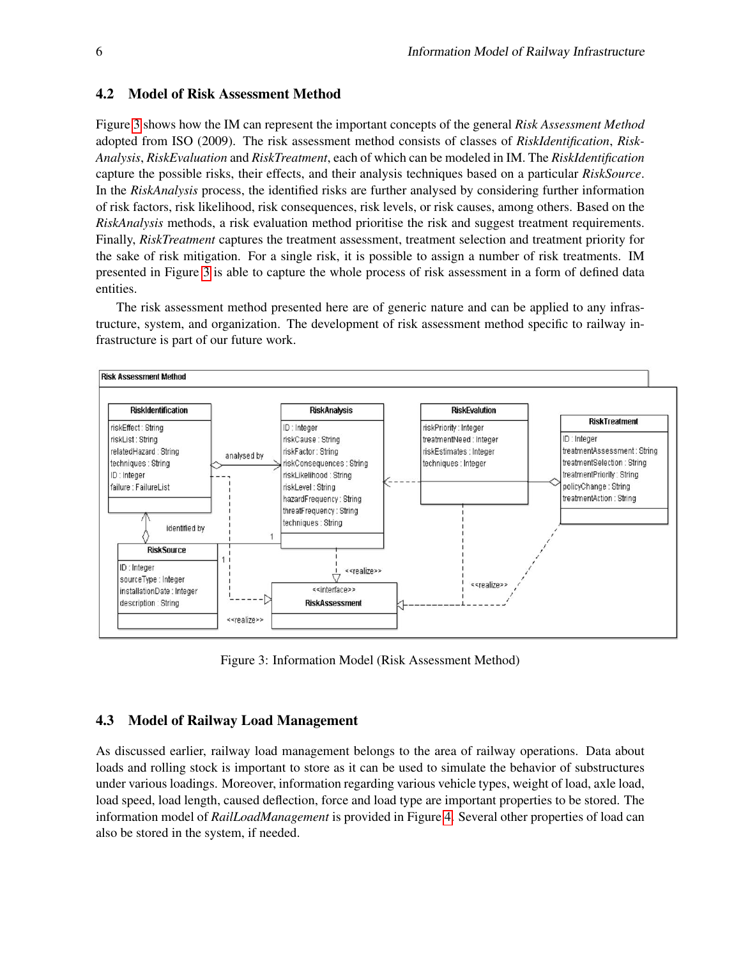#### <span id="page-6-0"></span>4.2 Model of Risk Assessment Method

Figure [3](#page-6-2) shows how the IM can represent the important concepts of the general *Risk Assessment Method* adopted from ISO (2009). The risk assessment method consists of classes of *RiskIdentification*, *Risk-Analysis*, *RiskEvaluation* and *RiskTreatment*, each of which can be modeled in IM. The *RiskIdentification* capture the possible risks, their effects, and their analysis techniques based on a particular *RiskSource*. In the *RiskAnalysis* process, the identified risks are further analysed by considering further information of risk factors, risk likelihood, risk consequences, risk levels, or risk causes, among others. Based on the *RiskAnalysis* methods, a risk evaluation method prioritise the risk and suggest treatment requirements. Finally, *RiskTreatment* captures the treatment assessment, treatment selection and treatment priority for the sake of risk mitigation. For a single risk, it is possible to assign a number of risk treatments. IM presented in Figure [3](#page-6-2) is able to capture the whole process of risk assessment in a form of defined data entities.

The risk assessment method presented here are of generic nature and can be applied to any infrastructure, system, and organization. The development of risk assessment method specific to railway infrastructure is part of our future work.

<span id="page-6-2"></span>

Figure 3: Information Model (Risk Assessment Method)

#### <span id="page-6-1"></span>4.3 Model of Railway Load Management

As discussed earlier, railway load management belongs to the area of railway operations. Data about loads and rolling stock is important to store as it can be used to simulate the behavior of substructures under various loadings. Moreover, information regarding various vehicle types, weight of load, axle load, load speed, load length, caused deflection, force and load type are important properties to be stored. The information model of *RailLoadManagement* is provided in Figure [4.](#page-7-0) Several other properties of load can also be stored in the system, if needed.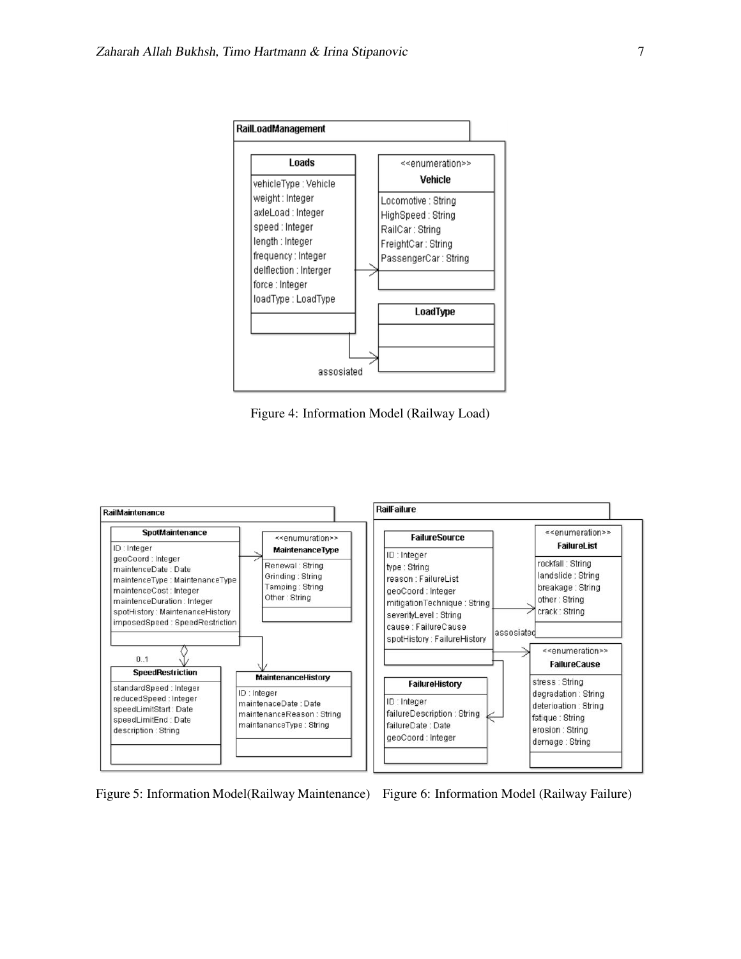<span id="page-7-0"></span>

Figure 4: Information Model (Railway Load)

<span id="page-7-1"></span>

Figure 5: Information Model(Railway Maintenance) Figure 6: Information Model (Railway Failure)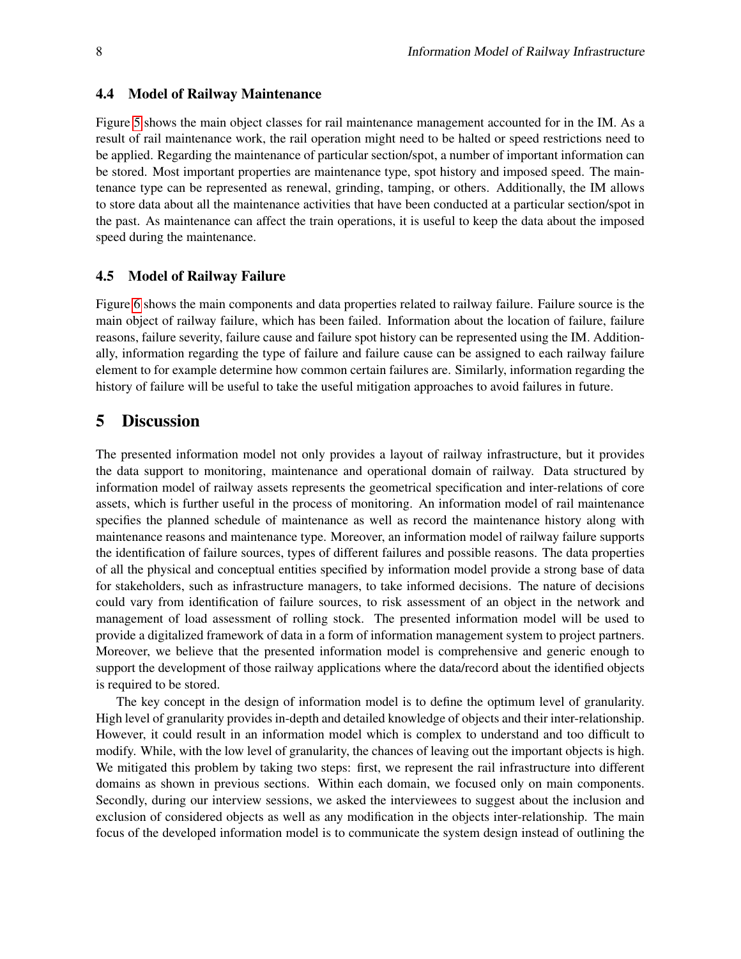#### <span id="page-8-1"></span>4.4 Model of Railway Maintenance

Figure [5](#page-7-1) shows the main object classes for rail maintenance management accounted for in the IM. As a result of rail maintenance work, the rail operation might need to be halted or speed restrictions need to be applied. Regarding the maintenance of particular section/spot, a number of important information can be stored. Most important properties are maintenance type, spot history and imposed speed. The maintenance type can be represented as renewal, grinding, tamping, or others. Additionally, the IM allows to store data about all the maintenance activities that have been conducted at a particular section/spot in the past. As maintenance can affect the train operations, it is useful to keep the data about the imposed speed during the maintenance.

#### <span id="page-8-2"></span>4.5 Model of Railway Failure

Figure [6](#page-7-1) shows the main components and data properties related to railway failure. Failure source is the main object of railway failure, which has been failed. Information about the location of failure, failure reasons, failure severity, failure cause and failure spot history can be represented using the IM. Additionally, information regarding the type of failure and failure cause can be assigned to each railway failure element to for example determine how common certain failures are. Similarly, information regarding the history of failure will be useful to take the useful mitigation approaches to avoid failures in future.

# <span id="page-8-0"></span>5 Discussion

The presented information model not only provides a layout of railway infrastructure, but it provides the data support to monitoring, maintenance and operational domain of railway. Data structured by information model of railway assets represents the geometrical specification and inter-relations of core assets, which is further useful in the process of monitoring. An information model of rail maintenance specifies the planned schedule of maintenance as well as record the maintenance history along with maintenance reasons and maintenance type. Moreover, an information model of railway failure supports the identification of failure sources, types of different failures and possible reasons. The data properties of all the physical and conceptual entities specified by information model provide a strong base of data for stakeholders, such as infrastructure managers, to take informed decisions. The nature of decisions could vary from identification of failure sources, to risk assessment of an object in the network and management of load assessment of rolling stock. The presented information model will be used to provide a digitalized framework of data in a form of information management system to project partners. Moreover, we believe that the presented information model is comprehensive and generic enough to support the development of those railway applications where the data/record about the identified objects is required to be stored.

The key concept in the design of information model is to define the optimum level of granularity. High level of granularity provides in-depth and detailed knowledge of objects and their inter-relationship. However, it could result in an information model which is complex to understand and too difficult to modify. While, with the low level of granularity, the chances of leaving out the important objects is high. We mitigated this problem by taking two steps: first, we represent the rail infrastructure into different domains as shown in previous sections. Within each domain, we focused only on main components. Secondly, during our interview sessions, we asked the interviewees to suggest about the inclusion and exclusion of considered objects as well as any modification in the objects inter-relationship. The main focus of the developed information model is to communicate the system design instead of outlining the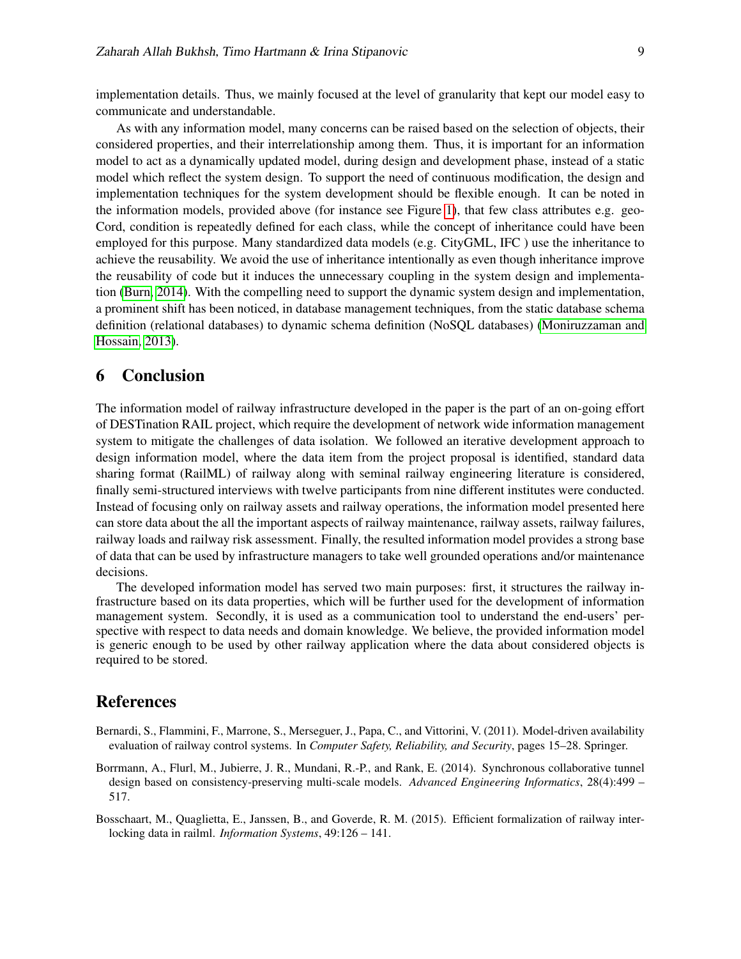implementation details. Thus, we mainly focused at the level of granularity that kept our model easy to communicate and understandable.

As with any information model, many concerns can be raised based on the selection of objects, their considered properties, and their interrelationship among them. Thus, it is important for an information model to act as a dynamically updated model, during design and development phase, instead of a static model which reflect the system design. To support the need of continuous modification, the design and implementation techniques for the system development should be flexible enough. It can be noted in the information models, provided above (for instance see Figure [1\)](#page-4-0), that few class attributes e.g. geo-Cord, condition is repeatedly defined for each class, while the concept of inheritance could have been employed for this purpose. Many standardized data models (e.g. CityGML, IFC ) use the inheritance to achieve the reusability. We avoid the use of inheritance intentionally as even though inheritance improve the reusability of code but it induces the unnecessary coupling in the system design and implementation [\(Burn, 2014\)](#page-10-11). With the compelling need to support the dynamic system design and implementation, a prominent shift has been noticed, in database management techniques, from the static database schema definition (relational databases) to dynamic schema definition (NoSQL databases) [\(Moniruzzaman and](#page-10-12) [Hossain, 2013\)](#page-10-12).

# <span id="page-9-0"></span>6 Conclusion

The information model of railway infrastructure developed in the paper is the part of an on-going effort of DESTination RAIL project, which require the development of network wide information management system to mitigate the challenges of data isolation. We followed an iterative development approach to design information model, where the data item from the project proposal is identified, standard data sharing format (RailML) of railway along with seminal railway engineering literature is considered, finally semi-structured interviews with twelve participants from nine different institutes were conducted. Instead of focusing only on railway assets and railway operations, the information model presented here can store data about the all the important aspects of railway maintenance, railway assets, railway failures, railway loads and railway risk assessment. Finally, the resulted information model provides a strong base of data that can be used by infrastructure managers to take well grounded operations and/or maintenance decisions.

The developed information model has served two main purposes: first, it structures the railway infrastructure based on its data properties, which will be further used for the development of information management system. Secondly, it is used as a communication tool to understand the end-users' perspective with respect to data needs and domain knowledge. We believe, the provided information model is generic enough to be used by other railway application where the data about considered objects is required to be stored.

# References

- Bernardi, S., Flammini, F., Marrone, S., Merseguer, J., Papa, C., and Vittorini, V. (2011). Model-driven availability evaluation of railway control systems. In *Computer Safety, Reliability, and Security*, pages 15–28. Springer.
- <span id="page-9-2"></span>Borrmann, A., Flurl, M., Jubierre, J. R., Mundani, R.-P., and Rank, E. (2014). Synchronous collaborative tunnel design based on consistency-preserving multi-scale models. *Advanced Engineering Informatics*, 28(4):499 – 517.
- <span id="page-9-1"></span>Bosschaart, M., Quaglietta, E., Janssen, B., and Goverde, R. M. (2015). Efficient formalization of railway interlocking data in railml. *Information Systems*, 49:126 – 141.